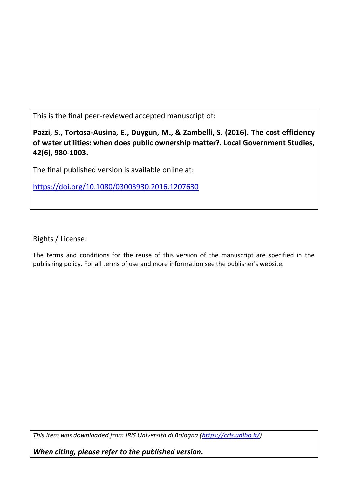This is the final peer-reviewed accepted manuscript of:

**Pazzi, S., Tortosa-Ausina, E., Duygun, M., & Zambelli, S. (2016). The cost efficiency of water utilities: when does public ownership matter?. Local Government Studies, 42(6), 980-1003.**

The final published version is available online at:

https://doi.org/10.1080/03003930.2016.1207630

Rights / License:

The terms and conditions for the reuse of this version of the manuscript are specified in the publishing policy. For all terms of use and more information see the publisher's website.

*This item was downloaded from IRIS Università di Bologna (https://cris.unibo.it/)*

*When citing, please refer to the published version.*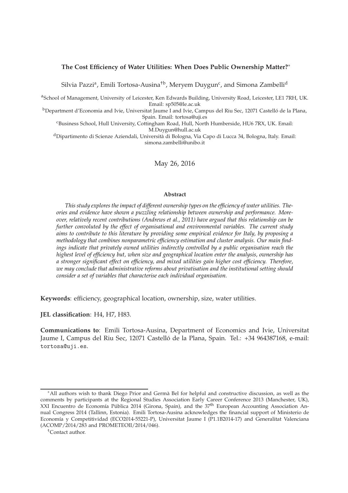### **The Cost Efficiency of Water Utilities: When Does Public Ownership Matter?**<sup>∗</sup>

Silvia Pazzi<sup>a</sup>, Emili Tortosa-Ausina<sup>†b</sup>, Meryem Duygun<sup>c</sup>, and Simona Zambelli<sup>d</sup>

<sup>a</sup>School of Management, University of Leicester, Ken Edwards Building, University Road, Leicester, LE1 7RH, UK. Email: sp505@le.ac.uk

<sup>b</sup>Department d'Economia and Ivie, Universitat Jaume I and Ivie, Campus del Riu Sec, 12071 Castelló de la Plana, Spain. Email: tortosa@uji.es

<sup>c</sup>Business School, Hull University, Cottingham Road, Hull, North Humberside, HU6 7RX, UK. Email: M.Duygun@hull.ac.uk

dDipartimento di Scienze Aziendali, Università di Bologna, Via Capo di Lucca 34, Bologna, Italy. Email: simona.zambelli@unibo.it

May 26, 2016

#### **Abstract**

*This study explores the impact of different ownership types on the efficiency of water utilities. Theories and evidence have shown a puzzling relationship between ownership and performance. Moreover, relatively recent contributions (Andrews et al., 2011) have argued that this relationship can be further convoluted by the effect of organisational and environmental variables. The current study aims to contribute to this literature by providing some empirical evidence for Italy, by proposing a methodology that combines nonparametric efficiency estimation and cluster analysis. Our main findings indicate that privately owned utilities indirectly controlled by a public organisation reach the highest level of efficiency but, when size and geographical location enter the analysis, ownership has a stronger significant effect on efficiency, and mixed utilities gain higher cost efficiency. Therefore, we may conclude that administrative reforms about privatisation and the institutional setting should consider a set of variables that characterise each individual organisation.*

**Keywords**: efficiency, geographical location, ownership, size, water utilities.

**JEL classification**: H4, H7, H83.

**Communications to**: Emili Tortosa-Ausina, Department of Economics and Ivie, Universitat Jaume I, Campus del Riu Sec, 12071 Castelló de la Plana, Spain. Tel.: +34 964387168, e-mail: tortosa@uji.es.

<sup>∗</sup>All authors wish to thank Diego Prior and Germà Bel for helpful and constructive discussion, as well as the comments by participants at the Regional Studies Association Early Career Conference 2013 (Manchester, UK), XXI Encuentro de Economía Pública 2014 (Girona, Spain), and the 37th European Accounting Association Annual Congress 2014 (Tallinn, Estonia). Emili Tortosa-Ausina acknowledges the financial support of Ministerio de Economía y Competitividad (ECO2014-55221-P), Universitat Jaume I (P1.1B2014-17) and Generalitat Valenciana (ACOMP/2014/283 and PROMETEOII/2014/046).

<sup>†</sup>Contact author.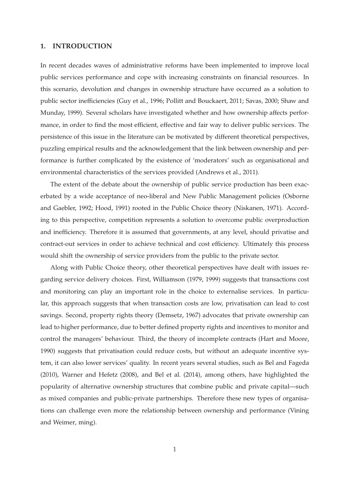# **1. INTRODUCTION**

In recent decades waves of administrative reforms have been implemented to improve local public services performance and cope with increasing constraints on financial resources. In this scenario, devolution and changes in ownership structure have occurred as a solution to public sector inefficiencies (Guy et al., 1996; Pollitt and Bouckaert, 2011; Savas, 2000; Shaw and Munday, 1999). Several scholars have investigated whether and how ownership affects performance, in order to find the most efficient, effective and fair way to deliver public services. The persistence of this issue in the literature can be motivated by different theoretical perspectives, puzzling empirical results and the acknowledgement that the link between ownership and performance is further complicated by the existence of 'moderators' such as organisational and environmental characteristics of the services provided (Andrews et al., 2011).

The extent of the debate about the ownership of public service production has been exacerbated by a wide acceptance of neo-liberal and New Public Management policies (Osborne and Gaebler, 1992; Hood, 1991) rooted in the Public Choice theory (Niskanen, 1971). According to this perspective, competition represents a solution to overcome public overproduction and inefficiency. Therefore it is assumed that governments, at any level, should privatise and contract-out services in order to achieve technical and cost efficiency. Ultimately this process would shift the ownership of service providers from the public to the private sector.

Along with Public Choice theory, other theoretical perspectives have dealt with issues regarding service delivery choices. First, Williamson (1979, 1999) suggests that transactions cost and monitoring can play an important role in the choice to externalise services. In particular, this approach suggests that when transaction costs are low, privatisation can lead to cost savings. Second, property rights theory (Demsetz, 1967) advocates that private ownership can lead to higher performance, due to better defined property rights and incentives to monitor and control the managers' behaviour. Third, the theory of incomplete contracts (Hart and Moore, 1990) suggests that privatisation could reduce costs, but without an adequate incentive system, it can also lower services' quality. In recent years several studies, such as Bel and Fageda (2010), Warner and Hefetz (2008), and Bel et al. (2014), among others, have highlighted the popularity of alternative ownership structures that combine public and private capital—such as mixed companies and public-private partnerships. Therefore these new types of organisations can challenge even more the relationship between ownership and performance (Vining and Weimer, ming).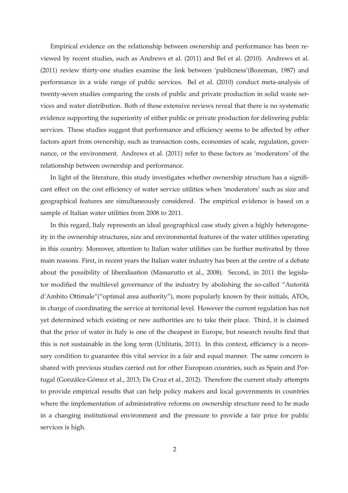Empirical evidence on the relationship between ownership and performance has been reviewed by recent studies, such as Andrews et al. (2011) and Bel et al. (2010). Andrews et al. (2011) review thirty-one studies examine the link between 'publicness'(Bozeman, 1987) and performance in a wide range of public services. Bel et al. (2010) conduct meta-analysis of twenty-seven studies comparing the costs of public and private production in solid waste services and water distribution. Both of these extensive reviews reveal that there is no systematic evidence supporting the superiority of either public or private production for delivering public services. These studies suggest that performance and efficiency seems to be affected by other factors apart from ownership, such as transaction costs, economies of scale, regulation, governance, or the environment. Andrews et al. (2011) refer to these factors as 'moderators' of the relationship between ownership and performance.

In light of the literature, this study investigates whether ownership structure has a significant effect on the cost efficiency of water service utilities when 'moderators' such as size and geographical features are simultaneously considered. The empirical evidence is based on a sample of Italian water utilities from 2008 to 2011.

In this regard, Italy represents an ideal geographical case study given a highly heterogeneity in the ownership structures, size and environmental features of the water utilities operating in this country. Moreover, attention to Italian water utilities can be further motivated by three main reasons. First, in recent years the Italian water industry has been at the centre of a debate about the possibility of liberalisation (Massarutto et al., 2008). Second, in 2011 the legislator modified the multilevel governance of the industry by abolishing the so-called "Autorità d'Ambito Ottimale"("optimal area authority"), more popularly known by their initials, ATOs, in charge of coordinating the service at territorial level. However the current regulation has not yet determined which existing or new authorities are to take their place. Third, it is claimed that the price of water in Italy is one of the cheapest in Europe, but research results find that this is not sustainable in the long term (Utilitatis, 2011). In this context, efficiency is a necessary condition to guarantee this vital service in a fair and equal manner. The same concern is shared with previous studies carried out for other European countries, such as Spain and Portugal (González-Gómez et al., 2013; Da Cruz et al., 2012). Therefore the current study attempts to provide empirical results that can help policy makers and local governments in countries where the implementation of administrative reforms on ownership structure need to be made in a changing institutional environment and the pressure to provide a fair price for public services is high.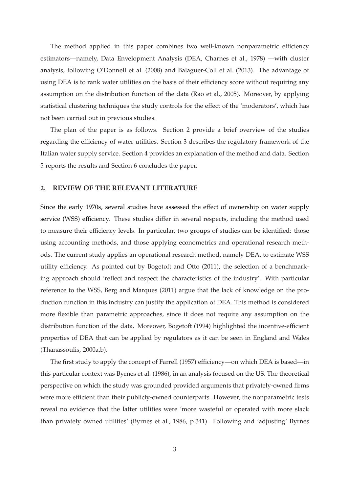The method applied in this paper combines two well-known nonparametric efficiency estimators—namely, Data Envelopment Analysis (DEA, Charnes et al., 1978) —with cluster analysis, following O'Donnell et al. (2008) and Balaguer-Coll et al. (2013). The advantage of using DEA is to rank water utilities on the basis of their efficiency score without requiring any assumption on the distribution function of the data (Rao et al., 2005). Moreover, by applying statistical clustering techniques the study controls for the effect of the 'moderators', which has not been carried out in previous studies.

The plan of the paper is as follows. Section 2 provide a brief overview of the studies regarding the efficiency of water utilities. Section 3 describes the regulatory framework of the Italian water supply service. Section 4 provides an explanation of the method and data. Section 5 reports the results and Section 6 concludes the paper.

# **2. REVIEW OF THE RELEVANT LITERATURE**

Since the early 1970s, several studies have assessed the effect of ownership on water supply service (WSS) efficiency. These studies differ in several respects, including the method used to measure their efficiency levels. In particular, two groups of studies can be identified: those using accounting methods, and those applying econometrics and operational research methods. The current study applies an operational research method, namely DEA, to estimate WSS utility efficiency. As pointed out by Bogetoft and Otto (2011), the selection of a benchmarking approach should 'reflect and respect the characteristics of the industry'. With particular reference to the WSS, Berg and Marques (2011) argue that the lack of knowledge on the production function in this industry can justify the application of DEA. This method is considered more flexible than parametric approaches, since it does not require any assumption on the distribution function of the data. Moreover, Bogetoft (1994) highlighted the incentive-efficient properties of DEA that can be applied by regulators as it can be seen in England and Wales (Thanassoulis, 2000a,b).

The first study to apply the concept of Farrell (1957) efficiency—on which DEA is based—in this particular context was Byrnes et al. (1986), in an analysis focused on the US. The theoretical perspective on which the study was grounded provided arguments that privately-owned firms were more efficient than their publicly-owned counterparts. However, the nonparametric tests reveal no evidence that the latter utilities were 'more wasteful or operated with more slack than privately owned utilities' (Byrnes et al., 1986, p.341). Following and 'adjusting' Byrnes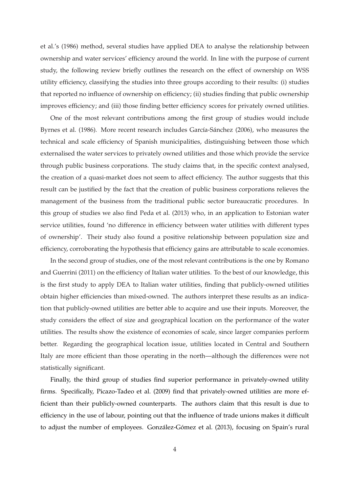et al.'s (1986) method, several studies have applied DEA to analyse the relationship between ownership and water services' efficiency around the world. In line with the purpose of current study, the following review briefly outlines the research on the effect of ownership on WSS utility efficiency, classifying the studies into three groups according to their results: (i) studies that reported no influence of ownership on efficiency; (ii) studies finding that public ownership improves efficiency; and (iii) those finding better efficiency scores for privately owned utilities.

One of the most relevant contributions among the first group of studies would include Byrnes et al. (1986). More recent research includes García-Sánchez (2006), who measures the technical and scale efficiency of Spanish municipalities, distinguishing between those which externalised the water services to privately owned utilities and those which provide the service through public business corporations. The study claims that, in the specific context analysed, the creation of a quasi-market does not seem to affect efficiency. The author suggests that this result can be justified by the fact that the creation of public business corporations relieves the management of the business from the traditional public sector bureaucratic procedures. In this group of studies we also find Peda et al. (2013) who, in an application to Estonian water service utilities, found 'no difference in efficiency between water utilities with different types of ownership'. Their study also found a positive relationship between population size and efficiency, corroborating the hypothesis that efficiency gains are attributable to scale economies.

In the second group of studies, one of the most relevant contributions is the one by Romano and Guerrini (2011) on the efficiency of Italian water utilities. To the best of our knowledge, this is the first study to apply DEA to Italian water utilities, finding that publicly-owned utilities obtain higher efficiencies than mixed-owned. The authors interpret these results as an indication that publicly-owned utilities are better able to acquire and use their inputs. Moreover, the study considers the effect of size and geographical location on the performance of the water utilities. The results show the existence of economies of scale, since larger companies perform better. Regarding the geographical location issue, utilities located in Central and Southern Italy are more efficient than those operating in the north—although the differences were not statistically significant.

Finally, the third group of studies find superior performance in privately-owned utility firms. Specifically, Picazo-Tadeo et al. (2009) find that privately-owned utilities are more efficient than their publicly-owned counterparts. The authors claim that this result is due to efficiency in the use of labour, pointing out that the influence of trade unions makes it difficult to adjust the number of employees. González-Gómez et al. (2013), focusing on Spain's rural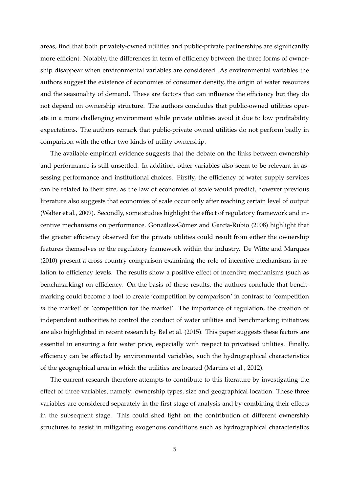areas, find that both privately-owned utilities and public-private partnerships are significantly more efficient. Notably, the differences in term of efficiency between the three forms of ownership disappear when environmental variables are considered. As environmental variables the authors suggest the existence of economies of consumer density, the origin of water resources and the seasonality of demand. These are factors that can influence the efficiency but they do not depend on ownership structure. The authors concludes that public-owned utilities operate in a more challenging environment while private utilities avoid it due to low profitability expectations. The authors remark that public-private owned utilities do not perform badly in comparison with the other two kinds of utility ownership.

The available empirical evidence suggests that the debate on the links between ownership and performance is still unsettled. In addition, other variables also seem to be relevant in assessing performance and institutional choices. Firstly, the efficiency of water supply services can be related to their size, as the law of economies of scale would predict, however previous literature also suggests that economies of scale occur only after reaching certain level of output (Walter et al., 2009). Secondly, some studies highlight the effect of regulatory framework and incentive mechanisms on performance. González-Gómez and García-Rubio (2008) highlight that the greater efficiency observed for the private utilities could result from either the ownership features themselves or the regulatory framework within the industry. De Witte and Marques (2010) present a cross-country comparison examining the role of incentive mechanisms in relation to efficiency levels. The results show a positive effect of incentive mechanisms (such as benchmarking) on efficiency. On the basis of these results, the authors conclude that benchmarking could become a tool to create 'competition by comparison' in contrast to 'competition *in* the market' or 'competition for the market'. The importance of regulation, the creation of independent authorities to control the conduct of water utilities and benchmarking initiatives are also highlighted in recent research by Bel et al. (2015). This paper suggests these factors are essential in ensuring a fair water price, especially with respect to privatised utilities. Finally, efficiency can be affected by environmental variables, such the hydrographical characteristics of the geographical area in which the utilities are located (Martins et al., 2012).

The current research therefore attempts to contribute to this literature by investigating the effect of three variables, namely: ownership types, size and geographical location. These three variables are considered separately in the first stage of analysis and by combining their effects in the subsequent stage. This could shed light on the contribution of different ownership structures to assist in mitigating exogenous conditions such as hydrographical characteristics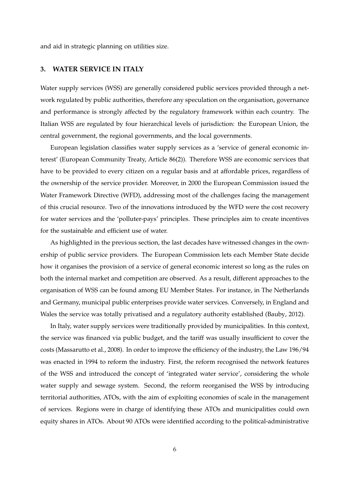and aid in strategic planning on utilities size.

# **3. WATER SERVICE IN ITALY**

Water supply services (WSS) are generally considered public services provided through a network regulated by public authorities, therefore any speculation on the organisation, governance and performance is strongly affected by the regulatory framework within each country. The Italian WSS are regulated by four hierarchical levels of jurisdiction: the European Union, the central government, the regional governments, and the local governments.

European legislation classifies water supply services as a 'service of general economic interest' (European Community Treaty, Article 86(2)). Therefore WSS are economic services that have to be provided to every citizen on a regular basis and at affordable prices, regardless of the ownership of the service provider. Moreover, in 2000 the European Commission issued the Water Framework Directive (WFD), addressing most of the challenges facing the management of this crucial resource. Two of the innovations introduced by the WFD were the cost recovery for water services and the 'polluter-pays' principles. These principles aim to create incentives for the sustainable and efficient use of water.

As highlighted in the previous section, the last decades have witnessed changes in the ownership of public service providers. The European Commission lets each Member State decide how it organises the provision of a service of general economic interest so long as the rules on both the internal market and competition are observed. As a result, different approaches to the organisation of WSS can be found among EU Member States. For instance, in The Netherlands and Germany, municipal public enterprises provide water services. Conversely, in England and Wales the service was totally privatised and a regulatory authority established (Bauby, 2012).

In Italy, water supply services were traditionally provided by municipalities. In this context, the service was financed via public budget, and the tariff was usually insufficient to cover the costs (Massarutto et al., 2008). In order to improve the efficiency of the industry, the Law 196/94 was enacted in 1994 to reform the industry. First, the reform recognised the network features of the WSS and introduced the concept of 'integrated water service', considering the whole water supply and sewage system. Second, the reform reorganised the WSS by introducing territorial authorities, ATOs, with the aim of exploiting economies of scale in the management of services. Regions were in charge of identifying these ATOs and municipalities could own equity shares in ATOs. About 90 ATOs were identified according to the political-administrative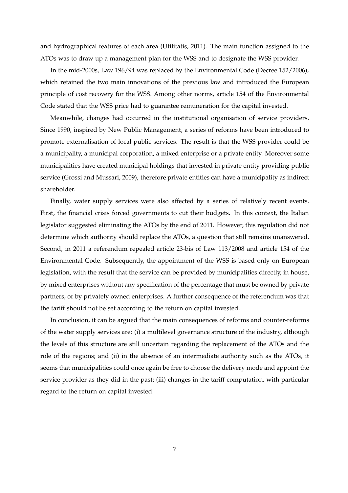and hydrographical features of each area (Utilitatis, 2011). The main function assigned to the ATOs was to draw up a management plan for the WSS and to designate the WSS provider.

In the mid-2000s, Law 196/94 was replaced by the Environmental Code (Decree 152/2006), which retained the two main innovations of the previous law and introduced the European principle of cost recovery for the WSS. Among other norms, article 154 of the Environmental Code stated that the WSS price had to guarantee remuneration for the capital invested.

Meanwhile, changes had occurred in the institutional organisation of service providers. Since 1990, inspired by New Public Management, a series of reforms have been introduced to promote externalisation of local public services. The result is that the WSS provider could be a municipality, a municipal corporation, a mixed enterprise or a private entity. Moreover some municipalities have created municipal holdings that invested in private entity providing public service (Grossi and Mussari, 2009), therefore private entities can have a municipality as indirect shareholder.

Finally, water supply services were also affected by a series of relatively recent events. First, the financial crisis forced governments to cut their budgets. In this context, the Italian legislator suggested eliminating the ATOs by the end of 2011. However, this regulation did not determine which authority should replace the ATOs, a question that still remains unanswered. Second, in 2011 a referendum repealed article 23-bis of Law 113/2008 and article 154 of the Environmental Code. Subsequently, the appointment of the WSS is based only on European legislation, with the result that the service can be provided by municipalities directly, in house, by mixed enterprises without any specification of the percentage that must be owned by private partners, or by privately owned enterprises. A further consequence of the referendum was that the tariff should not be set according to the return on capital invested.

In conclusion, it can be argued that the main consequences of reforms and counter-reforms of the water supply services are: (i) a multilevel governance structure of the industry, although the levels of this structure are still uncertain regarding the replacement of the ATOs and the role of the regions; and (ii) in the absence of an intermediate authority such as the ATOs, it seems that municipalities could once again be free to choose the delivery mode and appoint the service provider as they did in the past; (iii) changes in the tariff computation, with particular regard to the return on capital invested.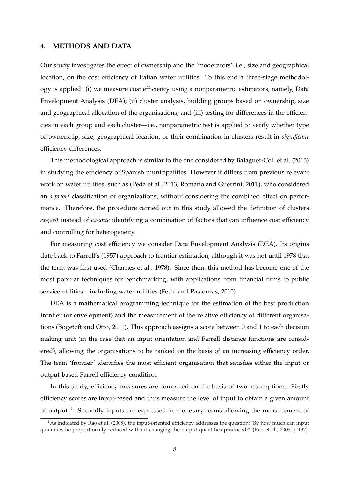# **4. METHODS AND DATA**

Our study investigates the effect of ownership and the 'moderators', i.e., size and geographical location, on the cost efficiency of Italian water utilities. To this end a three-stage methodology is applied: (i) we measure cost efficiency using a nonparametric estimators, namely, Data Envelopment Analysis (DEA); (ii) cluster analysis, building groups based on ownership, size and geographical allocation of the organisations; and (iii) testing for differences in the efficiencies in each group and each cluster—i.e., nonparametric test is applied to verify whether type of ownership, size, geographical location, or their combination in clusters result in *significant* efficiency differences.

This methodological approach is similar to the one considered by Balaguer-Coll et al. (2013) in studying the efficiency of Spanish municipalities. However it differs from previous relevant work on water utilities, such as (Peda et al., 2013; Romano and Guerrini, 2011), who considered an *a priori* classification of organizations, without considering the combined effect on performance. Therefore, the procedure carried out in this study allowed the definition of clusters *ex-post* instead of *ex-ante* identifying a combination of factors that can influence cost efficiency and controlling for heterogeneity.

For measuring cost efficiency we consider Data Envelopment Analysis (DEA). Its origins date back to Farrell's (1957) approach to frontier estimation, although it was not until 1978 that the term was first used (Charnes et al., 1978). Since then, this method has become one of the most popular techniques for benchmarking, with applications from financial firms to public service utilities—including water utilities (Fethi and Pasiouras, 2010).

DEA is a mathematical programming technique for the estimation of the best production frontier (or envelopment) and the measurement of the relative efficiency of different organisations (Bogetoft and Otto, 2011). This approach assigns a score between 0 and 1 to each decision making unit (in the case that an input orientation and Farrell distance functions are considered), allowing the organisations to be ranked on the basis of an increasing efficiency order. The term 'frontier' identifies the most efficient organisation that satisfies either the input or output-based Farrell efficiency condition.

In this study, efficiency measures are computed on the basis of two assumptions. Firstly efficiency scores are input-based and thus measure the level of input to obtain a given amount of output<sup>1</sup>. Secondly inputs are expressed in monetary terms allowing the measurement of

<sup>&</sup>lt;sup>1</sup>As indicated by Rao et al. (2005), the input-oriented efficiency addresses the question: 'By how much can input quantities be proportionally reduced without changing the output quantities produced?' (Rao et al., 2005, p.137).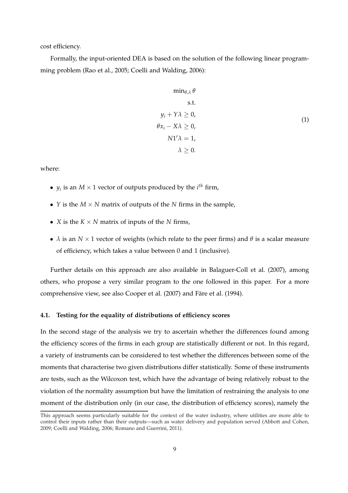cost efficiency.

Formally, the input-oriented DEA is based on the solution of the following linear programming problem (Rao et al., 2005; Coelli and Walding, 2006):

$$
\min_{\theta, \lambda} \theta
$$
\ns.t.\n  
\n
$$
y_i + Y\lambda \ge 0,
$$
\n
$$
\theta x_i - X\lambda \ge 0,
$$
\n
$$
N1'\lambda = 1,
$$
\n
$$
\lambda \ge 0.
$$
\n(1)

where:

- $y_i$  is an  $M \times 1$  vector of outputs produced by the  $i^{th}$  firm,
- *Y* is the  $M \times N$  matrix of outputs of the *N* firms in the sample,
- *X* is the  $K \times N$  matrix of inputs of the *N* firms,
- $\lambda$  is an  $N \times 1$  vector of weights (which relate to the peer firms) and  $\theta$  is a scalar measure of efficiency, which takes a value between 0 and 1 (inclusive).

Further details on this approach are also available in Balaguer-Coll et al. (2007), among others, who propose a very similar program to the one followed in this paper. For a more comprehensive view, see also Cooper et al. (2007) and Färe et al. (1994).

#### **4.1. Testing for the equality of distributions of efficiency scores**

In the second stage of the analysis we try to ascertain whether the differences found among the efficiency scores of the firms in each group are statistically different or not. In this regard, a variety of instruments can be considered to test whether the differences between some of the moments that characterise two given distributions differ statistically. Some of these instruments are tests, such as the Wilcoxon test, which have the advantage of being relatively robust to the violation of the normality assumption but have the limitation of restraining the analysis to one moment of the distribution only (in our case, the distribution of efficiency scores), namely the

This approach seems particularly suitable for the context of the water industry, where utilities are more able to control their inputs rather than their outputs—such as water delivery and population served (Abbott and Cohen, 2009; Coelli and Walding, 2006; Romano and Guerrini, 2011).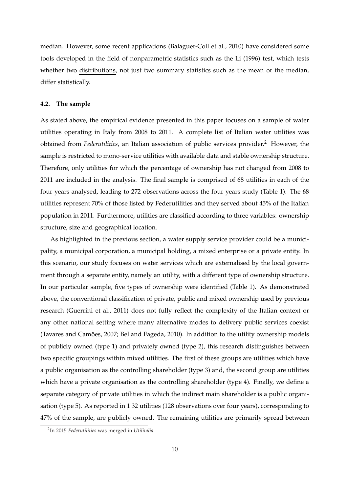median. However, some recent applications (Balaguer-Coll et al., 2010) have considered some tools developed in the field of nonparametric statistics such as the Li (1996) test, which tests whether two distributions, not just two summary statistics such as the mean or the median, differ statistically.

#### **4.2. The sample**

As stated above, the empirical evidence presented in this paper focuses on a sample of water utilities operating in Italy from 2008 to 2011. A complete list of Italian water utilities was obtained from *Federutilities*, an Italian association of public services provider.<sup>2</sup> However, the sample is restricted to mono-service utilities with available data and stable ownership structure. Therefore, only utilities for which the percentage of ownership has not changed from 2008 to 2011 are included in the analysis. The final sample is comprised of 68 utilities in each of the four years analysed, leading to 272 observations across the four years study (Table 1). The 68 utilities represent 70% of those listed by Federutilities and they served about 45% of the Italian population in 2011. Furthermore, utilities are classified according to three variables: ownership structure, size and geographical location.

As highlighted in the previous section, a water supply service provider could be a municipality, a municipal corporation, a municipal holding, a mixed enterprise or a private entity. In this scenario, our study focuses on water services which are externalised by the local government through a separate entity, namely an utility, with a different type of ownership structure. In our particular sample, five types of ownership were identified (Table 1). As demonstrated above, the conventional classification of private, public and mixed ownership used by previous research (Guerrini et al., 2011) does not fully reflect the complexity of the Italian context or any other national setting where many alternative modes to delivery public services coexist (Tavares and Camöes, 2007; Bel and Fageda, 2010). In addition to the utility ownership models of publicly owned (type 1) and privately owned (type 2), this research distinguishes between two specific groupings within mixed utilities. The first of these groups are utilities which have a public organisation as the controlling shareholder (type 3) and, the second group are utilities which have a private organisation as the controlling shareholder (type 4). Finally, we define a separate category of private utilities in which the indirect main shareholder is a public organisation (type 5). As reported in 1 32 utilities (128 observations over four years), corresponding to 47% of the sample, are publicly owned. The remaining utilities are primarily spread between

<sup>2</sup> In 2015 *Federutilities* was merged in *Utilitalia*.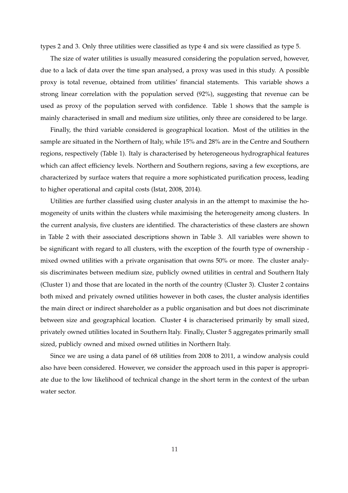types 2 and 3. Only three utilities were classified as type 4 and six were classified as type 5.

The size of water utilities is usually measured considering the population served, however, due to a lack of data over the time span analysed, a proxy was used in this study. A possible proxy is total revenue, obtained from utilities' financial statements. This variable shows a strong linear correlation with the population served (92%), suggesting that revenue can be used as proxy of the population served with confidence. Table 1 shows that the sample is mainly characterised in small and medium size utilities, only three are considered to be large.

Finally, the third variable considered is geographical location. Most of the utilities in the sample are situated in the Northern of Italy, while 15% and 28% are in the Centre and Southern regions, respectively (Table 1). Italy is characterised by heterogeneous hydrographical features which can affect efficiency levels. Northern and Southern regions, saving a few exceptions, are characterized by surface waters that require a more sophisticated purification process, leading to higher operational and capital costs (Istat, 2008, 2014).

Utilities are further classified using cluster analysis in an the attempt to maximise the homogeneity of units within the clusters while maximising the heterogeneity among clusters. In the current analysis, five clusters are identified. The characteristics of these clasters are shown in Table 2 with their associated descriptions shown in Table 3. All variables were shown to be significant with regard to all clusters, with the exception of the fourth type of ownership mixed owned utilities with a private organisation that owns 50% or more. The cluster analysis discriminates between medium size, publicly owned utilities in central and Southern Italy (Cluster 1) and those that are located in the north of the country (Cluster 3). Cluster 2 contains both mixed and privately owned utilities however in both cases, the cluster analysis identifies the main direct or indirect shareholder as a public organisation and but does not discriminate between size and geographical location. Cluster 4 is characterised primarily by small sized, privately owned utilities located in Southern Italy. Finally, Cluster 5 aggregates primarily small sized, publicly owned and mixed owned utilities in Northern Italy.

Since we are using a data panel of 68 utilities from 2008 to 2011, a window analysis could also have been considered. However, we consider the approach used in this paper is appropriate due to the low likelihood of technical change in the short term in the context of the urban water sector.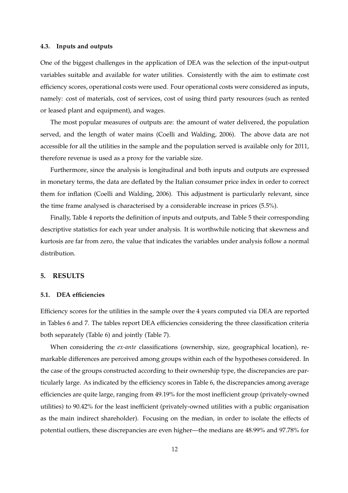#### **4.3. Inputs and outputs**

One of the biggest challenges in the application of DEA was the selection of the input-output variables suitable and available for water utilities. Consistently with the aim to estimate cost efficiency scores, operational costs were used. Four operational costs were considered as inputs, namely: cost of materials, cost of services, cost of using third party resources (such as rented or leased plant and equipment), and wages.

The most popular measures of outputs are: the amount of water delivered, the population served, and the length of water mains (Coelli and Walding, 2006). The above data are not accessible for all the utilities in the sample and the population served is available only for 2011, therefore revenue is used as a proxy for the variable size.

Furthermore, since the analysis is longitudinal and both inputs and outputs are expressed in monetary terms, the data are deflated by the Italian consumer price index in order to correct them for inflation (Coelli and Walding, 2006). This adjustment is particularly relevant, since the time frame analysed is characterised by a considerable increase in prices (5.5%).

Finally, Table 4 reports the definition of inputs and outputs, and Table 5 their corresponding descriptive statistics for each year under analysis. It is worthwhile noticing that skewness and kurtosis are far from zero, the value that indicates the variables under analysis follow a normal distribution.

### **5. RESULTS**

#### **5.1. DEA efficiencies**

Efficiency scores for the utilities in the sample over the 4 years computed via DEA are reported in Tables 6 and 7. The tables report DEA efficiencies considering the three classification criteria both separately (Table 6) and jointly (Table 7).

When considering the *ex-ante* classifications (ownership, size, geographical location), remarkable differences are perceived among groups within each of the hypotheses considered. In the case of the groups constructed according to their ownership type, the discrepancies are particularly large. As indicated by the efficiency scores in Table 6, the discrepancies among average efficiencies are quite large, ranging from 49.19% for the most inefficient group (privately-owned utilities) to 90.42% for the least inefficient (privately-owned utilities with a public organisation as the main indirect shareholder). Focusing on the median, in order to isolate the effects of potential outliers, these discrepancies are even higher—the medians are 48.99% and 97.78% for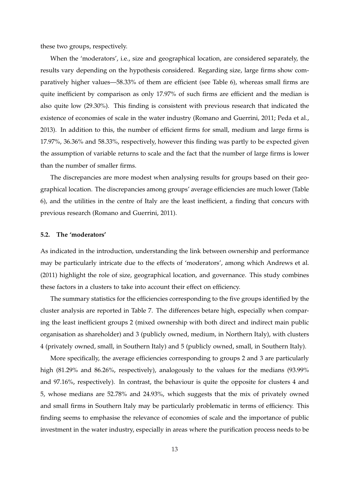these two groups, respectively.

When the 'moderators', i.e., size and geographical location, are considered separately, the results vary depending on the hypothesis considered. Regarding size, large firms show comparatively higher values—58.33% of them are efficient (see Table 6), whereas small firms are quite inefficient by comparison as only 17.97% of such firms are efficient and the median is also quite low (29.30%). This finding is consistent with previous research that indicated the existence of economies of scale in the water industry (Romano and Guerrini, 2011; Peda et al., 2013). In addition to this, the number of efficient firms for small, medium and large firms is 17.97%, 36.36% and 58.33%, respectively, however this finding was partly to be expected given the assumption of variable returns to scale and the fact that the number of large firms is lower than the number of smaller firms.

The discrepancies are more modest when analysing results for groups based on their geographical location. The discrepancies among groups' average efficiencies are much lower (Table 6), and the utilities in the centre of Italy are the least inefficient, a finding that concurs with previous research (Romano and Guerrini, 2011).

### **5.2. The 'moderators'**

As indicated in the introduction, understanding the link between ownership and performance may be particularly intricate due to the effects of 'moderators', among which Andrews et al. (2011) highlight the role of size, geographical location, and governance. This study combines these factors in a clusters to take into account their effect on efficiency.

The summary statistics for the efficiencies corresponding to the five groups identified by the cluster analysis are reported in Table 7. The differences betare high, especially when comparing the least inefficient groups 2 (mixed ownership with both direct and indirect main public organisation as shareholder) and 3 (publicly owned, medium, in Northern Italy), with clusters 4 (privately owned, small, in Southern Italy) and 5 (publicly owned, small, in Southern Italy).

More specifically, the average efficiencies corresponding to groups 2 and 3 are particularly high (81.29% and 86.26%, respectively), analogously to the values for the medians (93.99% and 97.16%, respectively). In contrast, the behaviour is quite the opposite for clusters 4 and 5, whose medians are 52.78% and 24.93%, which suggests that the mix of privately owned and small firms in Southern Italy may be particularly problematic in terms of efficiency. This finding seems to emphasise the relevance of economies of scale and the importance of public investment in the water industry, especially in areas where the purification process needs to be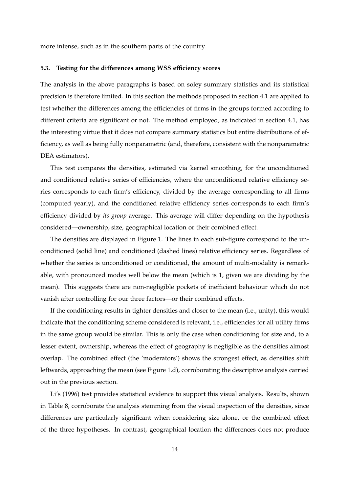more intense, such as in the southern parts of the country.

#### **5.3. Testing for the differences among WSS efficiency scores**

The analysis in the above paragraphs is based on soley summary statistics and its statistical precision is therefore limited. In this section the methods proposed in section 4.1 are applied to test whether the differences among the efficiencies of firms in the groups formed according to different criteria are significant or not. The method employed, as indicated in section 4.1, has the interesting virtue that it does not compare summary statistics but entire distributions of efficiency, as well as being fully nonparametric (and, therefore, consistent with the nonparametric DEA estimators).

This test compares the densities, estimated via kernel smoothing, for the unconditioned and conditioned relative series of efficiencies, where the unconditioned relative efficiency series corresponds to each firm's efficiency, divided by the average corresponding to all firms (computed yearly), and the conditioned relative efficiency series corresponds to each firm's efficiency divided by *its group* average. This average will differ depending on the hypothesis considered—ownership, size, geographical location or their combined effect.

The densities are displayed in Figure 1. The lines in each sub-figure correspond to the unconditioned (solid line) and conditioned (dashed lines) relative efficiency series. Regardless of whether the series is unconditioned or conditioned, the amount of multi-modality is remarkable, with pronounced modes well below the mean (which is 1, given we are dividing by the mean). This suggests there are non-negligible pockets of inefficient behaviour which do not vanish after controlling for our three factors—or their combined effects.

If the conditioning results in tighter densities and closer to the mean (i.e., unity), this would indicate that the conditioning scheme considered is relevant, i.e., efficiencies for all utility firms in the same group would be similar. This is only the case when conditioning for size and, to a lesser extent, ownership, whereas the effect of geography is negligible as the densities almost overlap. The combined effect (the 'moderators') shows the strongest effect, as densities shift leftwards, approaching the mean (see Figure 1.d), corroborating the descriptive analysis carried out in the previous section.

Li's (1996) test provides statistical evidence to support this visual analysis. Results, shown in Table 8, corroborate the analysis stemming from the visual inspection of the densities, since differences are particularly significant when considering size alone, or the combined effect of the three hypotheses. In contrast, geographical location the differences does not produce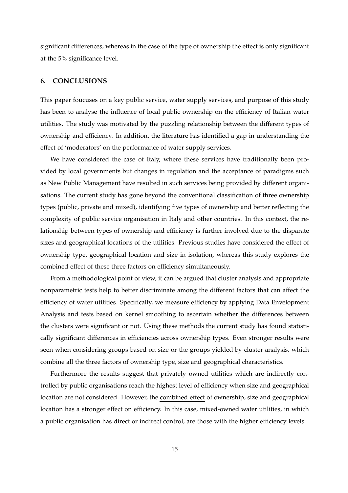significant differences, whereas in the case of the type of ownership the effect is only significant at the 5% significance level.

# **6. CONCLUSIONS**

This paper foucuses on a key public service, water supply services, and purpose of this study has been to analyse the influence of local public ownership on the efficiency of Italian water utilities. The study was motivated by the puzzling relationship between the different types of ownership and efficiency. In addition, the literature has identified a gap in understanding the effect of 'moderators' on the performance of water supply services.

We have considered the case of Italy, where these services have traditionally been provided by local governments but changes in regulation and the acceptance of paradigms such as New Public Management have resulted in such services being provided by different organisations. The current study has gone beyond the conventional classification of three ownership types (public, private and mixed), identifying five types of ownership and better reflecting the complexity of public service organisation in Italy and other countries. In this context, the relationship between types of ownership and efficiency is further involved due to the disparate sizes and geographical locations of the utilities. Previous studies have considered the effect of ownership type, geographical location and size in isolation, whereas this study explores the combined effect of these three factors on efficiency simultaneously.

From a methodological point of view, it can be argued that cluster analysis and appropriate nonparametric tests help to better discriminate among the different factors that can affect the efficiency of water utilities. Specifically, we measure efficiency by applying Data Envelopment Analysis and tests based on kernel smoothing to ascertain whether the differences between the clusters were significant or not. Using these methods the current study has found statistically significant differences in efficiencies across ownership types. Even stronger results were seen when considering groups based on size or the groups yielded by cluster analysis, which combine all the three factors of ownership type, size and geographical characteristics.

Furthermore the results suggest that privately owned utilities which are indirectly controlled by public organisations reach the highest level of efficiency when size and geographical location are not considered. However, the combined effect of ownership, size and geographical location has a stronger effect on efficiency. In this case, mixed-owned water utilities, in which a public organisation has direct or indirect control, are those with the higher efficiency levels.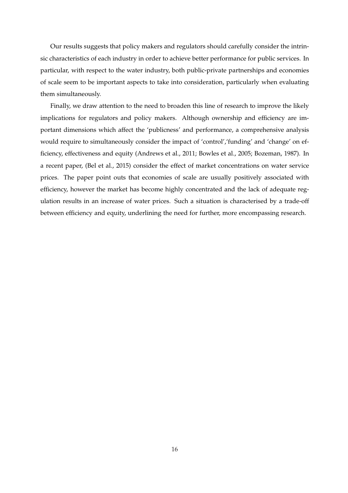Our results suggests that policy makers and regulators should carefully consider the intrinsic characteristics of each industry in order to achieve better performance for public services. In particular, with respect to the water industry, both public-private partnerships and economies of scale seem to be important aspects to take into consideration, particularly when evaluating them simultaneously.

Finally, we draw attention to the need to broaden this line of research to improve the likely implications for regulators and policy makers. Although ownership and efficiency are important dimensions which affect the 'publicness' and performance, a comprehensive analysis would require to simultaneously consider the impact of 'control','funding' and 'change' on efficiency, effectiveness and equity (Andrews et al., 2011; Bowles et al., 2005; Bozeman, 1987). In a recent paper, (Bel et al., 2015) consider the effect of market concentrations on water service prices. The paper point outs that economies of scale are usually positively associated with efficiency, however the market has become highly concentrated and the lack of adequate regulation results in an increase of water prices. Such a situation is characterised by a trade-off between efficiency and equity, underlining the need for further, more encompassing research.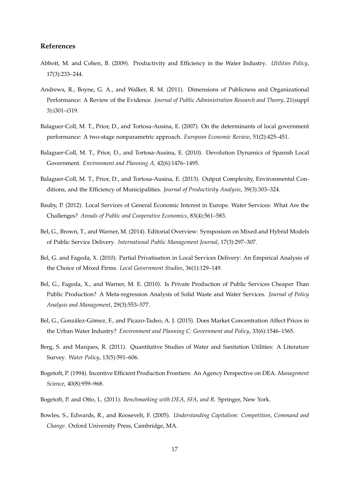# **References**

- Abbott, M. and Cohen, B. (2009). Productivity and Efficiency in the Water Industry. *Utilities Policy*, 17(3):233–244.
- Andrews, R., Boyne, G. A., and Walker, R. M. (2011). Dimensions of Publicness and Organizational Performance: A Review of the Evidence. *Journal of Public Administration Research and Theory*, 21(suppl 3):i301–i319.
- Balaguer-Coll, M. T., Prior, D., and Tortosa-Ausina, E. (2007). On the determinants of local government performance: A two-stage nonparametric approach. *European Economic Review*, 51(2):425–451.
- Balaguer-Coll, M. T., Prior, D., and Tortosa-Ausina, E. (2010). Devolution Dynamics of Spanish Local Government. *Environment and Planning A*, 42(6):1476–1495.
- Balaguer-Coll, M. T., Prior, D., and Tortosa-Ausina, E. (2013). Output Complexity, Environmental Conditions, and the Efficiency of Municipalities. *Journal of Productivity Analysis*, 39(3):303–324.
- Bauby, P. (2012). Local Services of General Economic Interest in Europe. Water Services: What Are the Challenges? *Annals of Public and Cooperative Economics*, 83(4):561–583.
- Bel, G., Brown, T., and Warner, M. (2014). Editorial Overview: Symposium on Mixed and Hybrid Models of Public Service Delivery. *International Public Management Journal*, 17(3):297–307.
- Bel, G. and Fageda, X. (2010). Partial Privatisation in Local Services Delivery: An Empirical Analysis of the Choice of Mixed Firms. *Local Government Studies*, 36(1):129–149.
- Bel, G., Fageda, X., and Warner, M. E. (2010). Is Private Production of Public Services Cheaper Than Public Production? A Meta-regression Analysis of Solid Waste and Water Services. *Journal of Policy Analysis and Management*, 29(3):553–577.
- Bel, G., González-Gómez, F., and Picazo-Tadeo, A. J. (2015). Does Market Concentration Affect Prices in the Urban Water Industry? *Environment and Planning C: Government and Policy*, 33(6):1546–1565.
- Berg, S. and Marques, R. (2011). Quantitative Studies of Water and Sanitation Utilities: A Literature Survey. *Water Policy*, 13(5):591–606.
- Bogetoft, P. (1994). Incentive Efficient Production Frontiers: An Agency Perspective on DEA. *Management Science*, 40(8):959–968.
- Bogetoft, P. and Otto, L. (2011). *Benchmarking with DEA, SFA, and R*. Springer, New York.
- Bowles, S., Edwards, R., and Roosevelt, F. (2005). *Understanding Capitalism: Competition, Command and Change*. Oxford University Press, Cambridge, MA.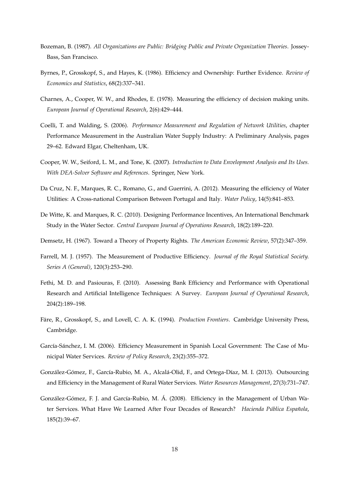- Bozeman, B. (1987). *All Organizations are Public: Bridging Public and Private Organization Theories*. Jossey-Bass, San Francisco.
- Byrnes, P., Grosskopf, S., and Hayes, K. (1986). Efficiency and Ownership: Further Evidence. *Review of Economics and Statistics*, 68(2):337–341.
- Charnes, A., Cooper, W. W., and Rhodes, E. (1978). Measuring the efficiency of decision making units. *European Journal of Operational Research*, 2(6):429–444.
- Coelli, T. and Walding, S. (2006). *Performance Measurement and Regulation of Network Utilities*, chapter Performance Measurement in the Australian Water Supply Industry: A Preliminary Analysis, pages 29–62. Edward Elgar, Cheltenham, UK.
- Cooper, W. W., Seiford, L. M., and Tone, K. (2007). *Introduction to Data Envelopment Analysis and Its Uses. With DEA-Solver Software and References*. Springer, New York.
- Da Cruz, N. F., Marques, R. C., Romano, G., and Guerrini, A. (2012). Measuring the efficiency of Water Utilities: A Cross-national Comparison Between Portugal and Italy. *Water Policy*, 14(5):841–853.
- De Witte, K. and Marques, R. C. (2010). Designing Performance Incentives, An International Benchmark Study in the Water Sector. *Central European Journal of Operations Research*, 18(2):189–220.
- Demsetz, H. (1967). Toward a Theory of Property Rights. *The American Economic Review*, 57(2):347–359.
- Farrell, M. J. (1957). The Measurement of Productive Efficiency. *Journal of the Royal Statistical Society. Series A (General)*, 120(3):253–290.
- Fethi, M. D. and Pasiouras, F. (2010). Assessing Bank Efficiency and Performance with Operational Research and Artificial Intelligence Techniques: A Survey. *European Journal of Operational Research*, 204(2):189–198.
- Färe, R., Grosskopf, S., and Lovell, C. A. K. (1994). *Production Frontiers*. Cambridge University Press, Cambridge.
- García-Sánchez, I. M. (2006). Efficiency Measurement in Spanish Local Government: The Case of Municipal Water Services. *Review of Policy Research*, 23(2):355–372.
- González-Gómez, F., García-Rubio, M. A., Alcalá-Olid, F., and Ortega-Díaz, M. I. (2013). Outsourcing and Efficiency in the Management of Rural Water Services. *Water Resources Management*, 27(3):731–747.
- González-Gómez, F. J. and García-Rubio, M. Á. (2008). Efficiency in the Management of Urban Water Services. What Have We Learned After Four Decades of Research? *Hacienda Pública Española*, 185(2):39–67.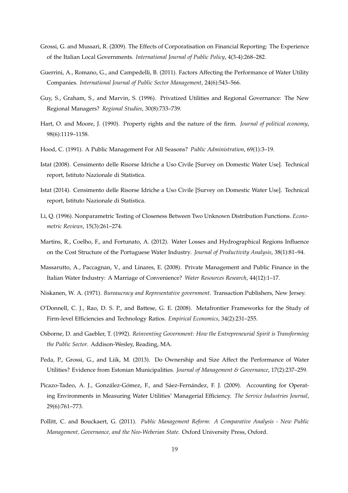- Grossi, G. and Mussari, R. (2009). The Effects of Corporatisation on Financial Reporting: The Experience of the Italian Local Governments. *International Journal of Public Policy*, 4(3-4):268–282.
- Guerrini, A., Romano, G., and Campedelli, B. (2011). Factors Affecting the Performance of Water Utility Companies. *International Journal of Public Sector Management*, 24(6):543–566.
- Guy, S., Graham, S., and Marvin, S. (1996). Privatized Utilities and Regional Governance: The New Regional Managers? *Regional Studies*, 30(8):733–739.
- Hart, O. and Moore, J. (1990). Property rights and the nature of the firm. *Journal of political economy*, 98(6):1119–1158.
- Hood, C. (1991). A Public Management For All Seasons? *Public Administration*, 69(1):3–19.
- Istat (2008). Censimento delle Risorse Idriche a Uso Civile [Survey on Domestic Water Use]. Technical report, Istituto Nazionale di Statistica.
- Istat (2014). Censimento delle Risorse Idriche a Uso Civile [Survey on Domestic Water Use]. Technical report, Istituto Nazionale di Statistica.
- Li, Q. (1996). Nonparametric Testing of Closeness Between Two Unknown Distribution Functions. *Econometric Reviews*, 15(3):261–274.
- Martins, R., Coelho, F., and Fortunato, A. (2012). Water Losses and Hydrographical Regions Influence on the Cost Structure of the Portuguese Water Industry. *Journal of Productivity Analysis*, 38(1):81–94.
- Massarutto, A., Paccagnan, V., and Linares, E. (2008). Private Management and Public Finance in the Italian Water Industry: A Marriage of Convenience? *Water Resources Research*, 44(12):1–17.
- Niskanen, W. A. (1971). *Bureaucracy and Representative government*. Transaction Publishers, New Jersey.
- O'Donnell, C. J., Rao, D. S. P., and Battese, G. E. (2008). Metafrontier Frameworks for the Study of Firm-level Efficiencies and Technology Ratios. *Empirical Economics*, 34(2):231–255.
- Osborne, D. and Gaebler, T. (1992). *Reinventing Government: How the Entrepreneurial Spirit is Transforming the Public Sector*. Addison-Wesley, Reading, MA.
- Peda, P., Grossi, G., and Liik, M. (2013). Do Ownership and Size Affect the Performance of Water Utilities? Evidence from Estonian Municipalities. *Journal of Management & Governance*, 17(2):237–259.
- Picazo-Tadeo, A. J., González-Gómez, F., and Sáez-Fernández, F. J. (2009). Accounting for Operating Environments in Measuring Water Utilities' Managerial Efficiency. *The Service Industries Journal*, 29(6):761–773.
- Pollitt, C. and Bouckaert, G. (2011). *Public Management Reform: A Comparative Analysis New Public Management, Governance, and the Neo-Weberian State*. Oxford University Press, Oxford.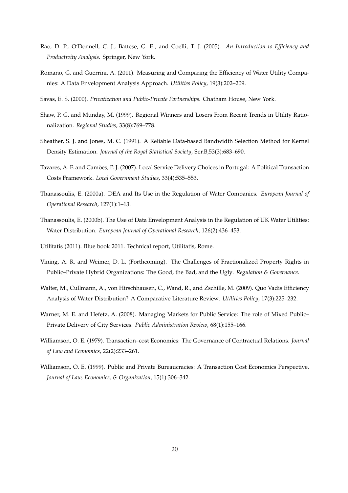- Rao, D. P., O'Donnell, C. J., Battese, G. E., and Coelli, T. J. (2005). *An Introduction to Efficiency and Productivity Analysis*. Springer, New York.
- Romano, G. and Guerrini, A. (2011). Measuring and Comparing the Efficiency of Water Utility Companies: A Data Envelopment Analysis Approach. *Utilities Policy*, 19(3):202–209.
- Savas, E. S. (2000). *Privatization and Public-Private Partnerships*. Chatham House, New York.
- Shaw, P. G. and Munday, M. (1999). Regional Winners and Losers From Recent Trends in Utility Rationalization. *Regional Studies*, 33(8):769–778.
- Sheather, S. J. and Jones, M. C. (1991). A Reliable Data-based Bandwidth Selection Method for Kernel Density Estimation. *Journal of the Royal Statistical Society*, Ser.B,53(3):683–690.
- Tavares, A. F. and Camöes, P. J. (2007). Local Service Delivery Choices in Portugal: A Political Transaction Costs Framework. *Local Government Studies*, 33(4):535–553.
- Thanassoulis, E. (2000a). DEA and Its Use in the Regulation of Water Companies. *European Journal of Operational Research*, 127(1):1–13.
- Thanassoulis, E. (2000b). The Use of Data Envelopment Analysis in the Regulation of UK Water Utilities: Water Distribution. *European Journal of Operational Research*, 126(2):436–453.
- Utilitatis (2011). Blue book 2011. Technical report, Utilitatis, Rome.
- Vining, A. R. and Weimer, D. L. (Forthcoming). The Challenges of Fractionalized Property Rights in Public–Private Hybrid Organizations: The Good, the Bad, and the Ugly. *Regulation & Governance*.
- Walter, M., Cullmann, A., von Hirschhausen, C., Wand, R., and Zschille, M. (2009). Quo Vadis Efficiency Analysis of Water Distribution? A Comparative Literature Review. *Utilities Policy*, 17(3):225–232.
- Warner, M. E. and Hefetz, A. (2008). Managing Markets for Public Service: The role of Mixed Public– Private Delivery of City Services. *Public Administration Review*, 68(1):155–166.
- Williamson, O. E. (1979). Transaction–cost Economics: The Governance of Contractual Relations. *Journal of Law and Economics*, 22(2):233–261.
- Williamson, O. E. (1999). Public and Private Bureaucracies: A Transaction Cost Economics Perspective. *Journal of Law, Economics, & Organization*, 15(1):306–342.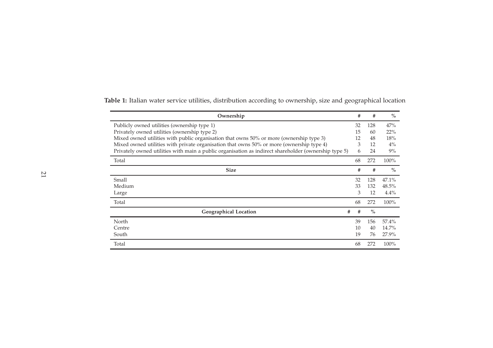| Ownership                                                                                            | #  | #    | $\%$  |
|------------------------------------------------------------------------------------------------------|----|------|-------|
| Publicly owned utilities (ownership type 1)                                                          | 32 | 128  | 47%   |
| Privately owned utilities (ownership type 2)                                                         | 15 | 60   | 22%   |
| Mixed owned utilities with public organisation that owns 50% or more (ownership type 3)              | 12 | 48   | 18%   |
| Mixed owned utilities with private organisation that owns 50% or more (ownership type 4)             | 3  | 12   | $4\%$ |
| Privately owned utilities with main a public organisation as indirect shareholder (ownership type 5) | 6  | 24   | 9%    |
| Total                                                                                                | 68 | 272  | 100%  |
| <b>Size</b>                                                                                          | #  | #    | $\%$  |
| Small                                                                                                | 32 | 128  | 47.1% |
| Medium                                                                                               | 33 | 132  | 48.5% |
| Large                                                                                                | 3  | 12   | 4.4%  |
| Total                                                                                                | 68 | 272  | 100%  |
| #<br><b>Geographical Location</b>                                                                    | #  | $\%$ |       |
| North                                                                                                | 39 | 156  | 57.4% |
| Centre                                                                                               | 10 | 40   | 14.7% |
| South                                                                                                | 19 | 76   | 27.9% |
| Total                                                                                                | 68 | 272  | 100%  |

**Table 1:** Italian water service utilities, distribution according to ownership, size and geographical location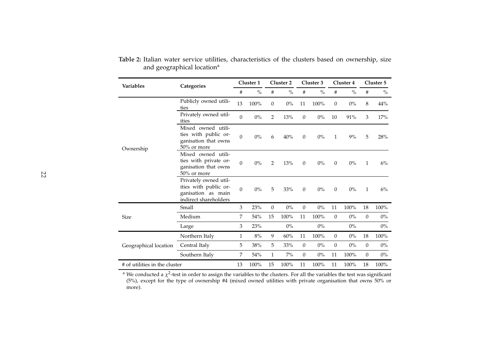| <b>Variables</b>      | Categories                                                                                    | Cluster 1      |       | Cluster <sub>2</sub> |               | Cluster 3    |               | Cluster 4 |       | Cluster 5        |               |
|-----------------------|-----------------------------------------------------------------------------------------------|----------------|-------|----------------------|---------------|--------------|---------------|-----------|-------|------------------|---------------|
|                       |                                                                                               | #              | $\%$  | #                    | $\frac{0}{0}$ | #            | $\frac{0}{0}$ | #         | $\%$  | $\#$             | $\frac{0}{0}$ |
|                       | Publicly owned utili-<br>ties                                                                 | 13             | 100%  | $\mathbf{0}$         | $0\%$         | 11           | 100%          | $\theta$  | $0\%$ | 8                | 44%           |
|                       | Privately owned util-<br>ities                                                                | $\theta$       | $0\%$ | 2                    | 13%           | $\theta$     | $0\%$         | 10        | 91%   | 3                | 17%           |
| Ownership             | Mixed owned utili-<br>ties with public or-<br>ganisation that owns<br>50% or more             | $\mathbf{0}$   | $0\%$ | 6                    | 40%           | $\theta$     | $0\%$         | 1         | 9%    | 5                | 28%           |
|                       | Mixed owned utili-<br>ties with private or-<br>ganisation that owns<br>50% or more            | $\overline{0}$ | $0\%$ | 2                    | 13%           | $\theta$     | $0\%$         | $\theta$  | $0\%$ | $\mathbf{1}$     | 6%            |
|                       | Privately owned util-<br>ities with public or-<br>ganisation as main<br>indirect shareholders | $\Omega$       | $0\%$ | 5                    | 33%           | $\theta$     | $0\%$         | $\theta$  | $0\%$ | $\mathbf{1}$     | 6%            |
|                       | Small                                                                                         | 3              | 23%   | $\boldsymbol{0}$     | $0\%$         | $\theta$     | $0\%$         | 11        | 100%  | 18               | 100%          |
| <b>Size</b>           | Medium                                                                                        | 7              | 54%   | 15                   | 100%          | 11           | 100%          | 0         | $0\%$ | $\mathbf{0}$     | $0\%$         |
|                       | Large                                                                                         | 3              | 23%   |                      | $0\%$         |              | $0\%$         |           | $0\%$ |                  | $0\%$         |
| Geographical location | Northern Italy                                                                                | $\mathbf{1}$   | $8\%$ | 9                    | 60%           | 11           | 100%          | $\Omega$  | $0\%$ | 18               | 100%          |
|                       | Central Italy                                                                                 | 5              | 38%   | 5                    | 33%           | $\mathbf{0}$ | $0\%$         | 0         | $0\%$ | $\mathbf{0}$     | $0\%$         |
|                       | Southern Italy                                                                                | 7              | 54%   | 1                    | $7\%$         | 0            | $0\%$         | 11        | 100%  | $\boldsymbol{0}$ | $0\%$         |
|                       | # of utilities in the cluster                                                                 |                | 100%  | 15                   | 100%          | 11           | 100%          | 11        | 100%  | 18               | 100%          |

**Table 2:** Italian water service utilities, characteristics of the clusters based on ownership, sizeand geographical location<sup>a</sup>

<sup>a</sup> We conducted a  $\chi^2$ -test in order to assign the variables to the clusters. For all the variables the test was significant (5%), excep<sup>t</sup> for the type of ownership #4 (mixed owned utilities with private organisation that owns 50% ormore).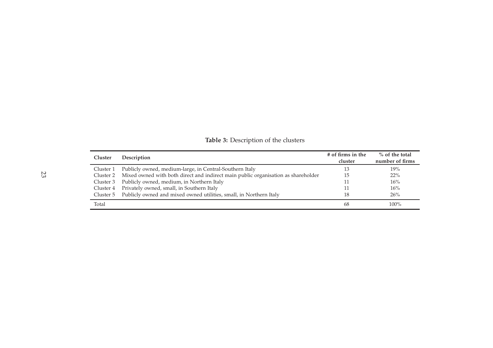| Cluster   | Description                                                                       | # of firms in the<br>cluster | $%$ of the total<br>number of firms |
|-----------|-----------------------------------------------------------------------------------|------------------------------|-------------------------------------|
| Cluster 1 | Publicly owned, medium-large, in Central-Southern Italy                           | 13                           | 19%                                 |
| Cluster 2 | Mixed owned with both direct and indirect main public organisation as shareholder | 15                           | 22%                                 |
|           | Cluster 3 Publicly owned, medium, in Northern Italy                               | 11                           | 16%                                 |
|           | Cluster 4 Privately owned, small, in Southern Italy                               | 11                           | 16%                                 |
|           | Cluster 5 Publicly owned and mixed owned utilities, small, in Northern Italy      | 18                           | 26%                                 |
| Total     |                                                                                   | 68                           | 100%                                |

**Table 3:** Description of the clusters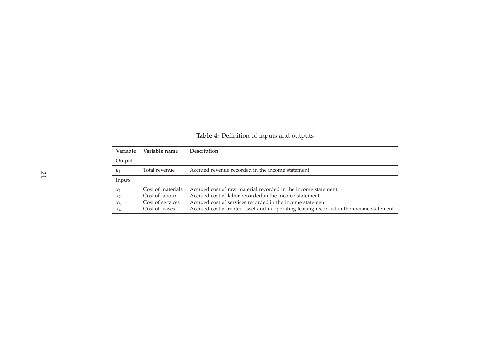**Table 4:** Definition of inputs and outputs

| Variable          | Variable name     | Description                                                                            |
|-------------------|-------------------|----------------------------------------------------------------------------------------|
| Output            |                   |                                                                                        |
| $y_1$             | Total revenue     | Accrued revenue recorded in the income statement                                       |
| Inputs            |                   |                                                                                        |
| $\mathcal{X}_1$   | Cost of materials | Accrued cost of raw material recorded in the income statement                          |
| $\mathcal{X}_{2}$ | Cost of labour    | Accrued cost of labor recorded in the income statement                                 |
| $x_3$             | Cost of services  | Accrued cost of services recorded in the income statement                              |
| $x_4$             | Cost of leases    | Accrued cost of rented asset and in operating leasing recorded in the income statement |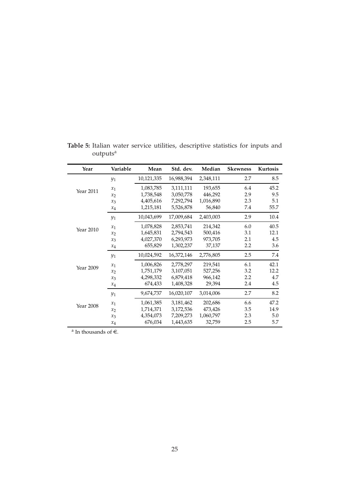| Year      | Variable       | Mean       | Std. dev.  | Median    | <b>Skewness</b> | Kurtosis |
|-----------|----------------|------------|------------|-----------|-----------------|----------|
|           | $y_1$          | 10,121,335 | 16,988,394 | 2,348,111 | 2.7             | 8.5      |
|           | $x_1$          | 1,083,785  | 3,111,111  | 193,655   | 6.4             | 45.2     |
| Year 2011 | x <sub>2</sub> | 1,738,548  | 3,050,778  | 446,292   | 2.9             | 9.5      |
|           | $x_3$          | 4,405,616  | 7,292,794  | 1,016,890 | 2.3             | 5.1      |
|           | $x_4$          | 1,215,181  | 5,526,878  | 56,840    | 7.4             | 55.7     |
|           | $y_1$          | 10,043,699 | 17,009,684 | 2,403,003 | 2.9             | 10.4     |
| Year 2010 | $x_1$          | 1,078,828  | 2,853,741  | 214,342   | 6.0             | 40.5     |
|           | $x_2$          | 1,645,831  | 2,794,543  | 500,416   | 3.1             | 12.1     |
|           | $x_3$          | 4,027,370  | 6,293,973  | 973,705   | 2.1             | 4.5      |
|           | $x_4$          | 655,829    | 1,302,237  | 37,137    | 2.2             | 3.6      |
|           | $y_1$          | 10,024,592 | 16,372,146 | 2,776,805 | 2.5             | 7.4      |
| Year 2009 | $x_1$          | 1,006,826  | 2,778,297  | 219,541   | 6.1             | 42.1     |
|           | $x_2$          | 1,751,179  | 3,107,051  | 527,256   | 3.2             | 12.2     |
|           | $x_3$          | 4,298,332  | 6,879,418  | 966,142   | 2.2             | 4.7      |
|           | $x_4$          | 674,433    | 1,408,328  | 29,394    | 2.4             | 4.5      |
|           | $y_1$          | 9,674,737  | 16,020,107 | 3,014,006 | 2.7             | 8.2      |
| Year 2008 | $x_1$          | 1,061,385  | 3,181,462  | 202,686   | 6.6             | 47.2     |
|           | $x_2$          | 1,714,371  | 3,172,536  | 473,426   | 3.5             | 14.9     |
|           | $x_3$          | 4,354,073  | 7,209,273  | 1,060,797 | 2.3             | 5.0      |
|           | $x_4$          | 676,034    | 1,443,635  | 32,759    | 2.5             | 5.7      |

**Table 5:** Italian water service utilities, descriptive statistics for inputs and  $\text{outputs}^{\text{a}}$ 

<sup>a</sup> In thousands of  $\in$ .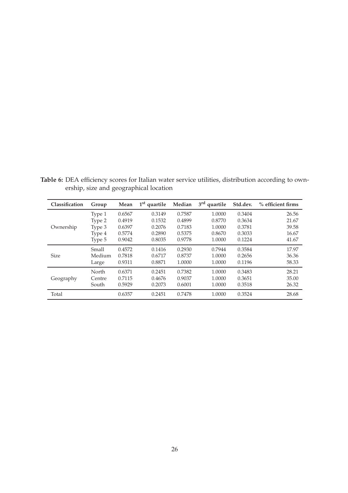**Table 6:** DEA efficiency scores for Italian water service utilities, distribution according to ownership, size and geographical location

| Classification | Group  | Mean   | $1st$ quartile | Median | 3 <sup>rd</sup><br>quartile | Std.dev. | % efficient firms |
|----------------|--------|--------|----------------|--------|-----------------------------|----------|-------------------|
|                | Type 1 | 0.6567 | 0.3149         | 0.7587 | 1.0000                      | 0.3404   | 26.56             |
|                | Type 2 | 0.4919 | 0.1532         | 0.4899 | 0.8770                      | 0.3634   | 21.67             |
| Ownership      | Type 3 | 0.6397 | 0.2076         | 0.7183 | 1.0000                      | 0.3781   | 39.58             |
|                | Type 4 | 0.5774 | 0.2890         | 0.5375 | 0.8670                      | 0.3033   | 16.67             |
|                | Type 5 | 0.9042 | 0.8035         | 0.9778 | 1.0000                      | 0.1224   | 41.67             |
|                | Small  | 0.4572 | 0.1416         | 0.2930 | 0.7944                      | 0.3584   | 17.97             |
| <b>Size</b>    | Medium | 0.7818 | 0.6717         | 0.8737 | 1.0000                      | 0.2656   | 36.36             |
|                | Large  | 0.9311 | 0.8871         | 1.0000 | 1.0000                      | 0.1196   | 58.33             |
|                | North  | 0.6371 | 0.2451         | 0.7382 | 1.0000                      | 0.3483   | 28.21             |
| Geography      | Centre | 0.7115 | 0.4676         | 0.9037 | 1.0000                      | 0.3651   | 35.00             |
|                | South  | 0.5929 | 0.2073         | 0.6001 | 1.0000                      | 0.3518   | 26.32             |
| Total          |        | 0.6357 | 0.2451         | 0.7478 | 1.0000                      | 0.3524   | 28.68             |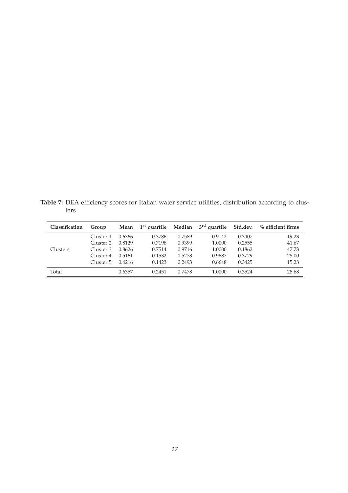**Table 7:** DEA efficiency scores for Italian water service utilities, distribution according to clusters

| Classification | Group     | Mean   | 1 <sup>st</sup> quartile Median |        | 3 <sup>rd</sup> quartile | Std.dev. | % efficient firms |
|----------------|-----------|--------|---------------------------------|--------|--------------------------|----------|-------------------|
|                | Cluster 1 | 0.6366 | 0.3786                          | 0.7589 | 0.9142                   | 0.3407   | 19.23             |
|                | Cluster 2 | 0.8129 | 0.7198                          | 0.9399 | 1.0000                   | 0.2555   | 41.67             |
| Clusters       | Cluster 3 | 0.8626 | 0.7514                          | 0.9716 | 1.0000                   | 0.1862   | 47.73             |
|                | Cluster 4 | 0.5161 | 0.1532                          | 0.5278 | 0.9687                   | 0.3729   | 25.00             |
|                | Cluster 5 | 0.4216 | 0.1423                          | 0.2493 | 0.6648                   | 0.3425   | 15.28             |
| Total          |           | 0.6357 | 0.2451                          | 0.7478 | 1.0000                   | 0.3524   | 28.68             |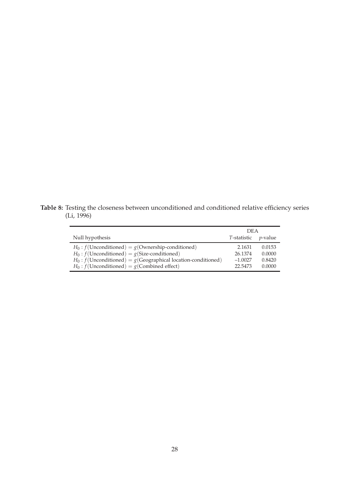**Table 8:** Testing the closeness between unconditioned and conditioned relative efficiency series (Li, 1996)

|                                                                       | <b>DEA</b>  |                 |  |
|-----------------------------------------------------------------------|-------------|-----------------|--|
| Null hypothesis                                                       | T-statistic | <i>p</i> -value |  |
| $H_0$ : $f$ (Unconditioned) = $g$ (Ownership-conditioned)             | 2.1631      | 0.0153          |  |
| $H_0$ : $f$ (Unconditioned) = $g$ (Size-conditioned)                  | 26.1374     | 0.0000          |  |
| $H_0$ : $f$ (Unconditioned) = $g$ (Geographical location-conditioned) | $-1.0027$   | 0.8420          |  |
| $H_0$ : $f$ (Unconditioned) = $g$ (Combined effect)                   | 22.5473     | 0.0000          |  |